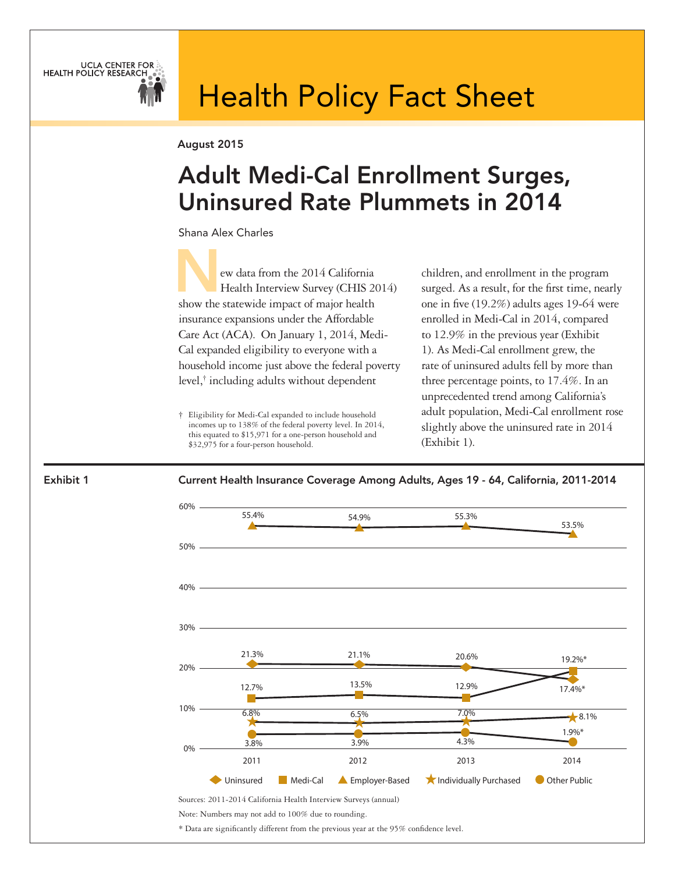

# Health Policy Fact Sheet

August 2015

## Adult Medi-Cal Enrollment Surges, Uninsured Rate Plummets in 2014

Shana Alex Charles

ew data from the 2014 California Health Interview Survey (CHIS 2014) show the statewide impact of major health insurance expansions under the Affordable Care Act (ACA). On January 1, 2014, Medi-Cal expanded eligibility to everyone with a household income just above the federal poverty level,† including adults without dependent

† Eligibility for Medi-Cal expanded to include household incomes up to 138% of the federal poverty level. In 2014, this equated to \$15,971 for a one-person household and \$32,975 for a four-person household.

children, and enrollment in the program surged. As a result, for the first time, nearly one in five (19.2%) adults ages 19-64 were enrolled in Medi-Cal in 2014, compared to 12.9% in the previous year (Exhibit 1). As Medi-Cal enrollment grew, the rate of uninsured adults fell by more than three percentage points, to 17.4%. In an unprecedented trend among California's adult population, Medi-Cal enrollment rose slightly above the uninsured rate in 2014 (Exhibit 1).



\* Data are significantly different from the previous year at the 95% confidence level.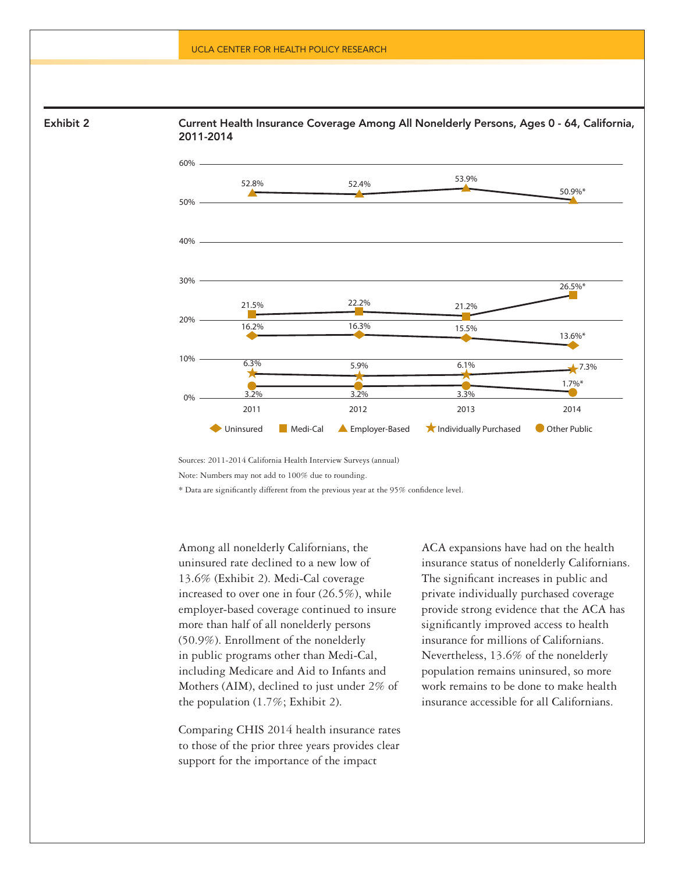

Current Health Insurance Coverage Among All Nonelderly Persons, Ages 0 - 64, California, 2011-2014



Sources: 2011-2014 California Health Interview Surveys (annual)

Note: Numbers may not add to 100% due to rounding.

\* Data are significantly different from the previous year at the 95% confidence level.

Among all nonelderly Californians, the uninsured rate declined to a new low of 13.6% (Exhibit 2). Medi-Cal coverage increased to over one in four (26.5%), while employer-based coverage continued to insure more than half of all nonelderly persons (50.9%). Enrollment of the nonelderly in public programs other than Medi-Cal, including Medicare and Aid to Infants and Mothers (AIM), declined to just under 2% of the population (1.7%; Exhibit 2).

Comparing CHIS 2014 health insurance rates to those of the prior three years provides clear support for the importance of the impact

ACA expansions have had on the health insurance status of nonelderly Californians. The significant increases in public and private individually purchased coverage provide strong evidence that the ACA has significantly improved access to health insurance for millions of Californians. Nevertheless, 13.6% of the nonelderly population remains uninsured, so more work remains to be done to make health insurance accessible for all Californians.